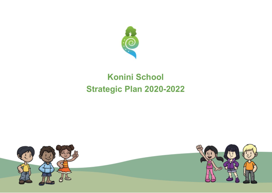

# **Konini School Strategic Plan 2020-2022**

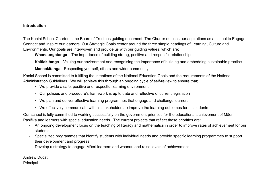#### **Introduction**

The Konini School Charter is the Board of Trustees guiding document. The Charter outlines our aspirations as a school to Engage, Connect and Inspire our learners. Our Strategic Goals center around the three simple headings of Learning, Culture and Environments. Our goals are interwoven and provide us with our guiding values, which are;

**Whanaungatanga** – The importance of building strong, positive and respectful relationships

**Kaitiakitanga** – Valuing our environment and recognising the importance of building and embedding sustainable practice

**Manaakitanga -** Respecting yourself, others and wider community

Konini School is committed to fulfilling the intentions of the National Education Goals and the requirements of the National Administration Guidelines. We will achieve this through an ongoing cycle of self-review to ensure that;

- · We provide a safe, positive and respectful learning environment
- · Our policies and procedure's framework is up to date and reflective of current legislation
- · We plan and deliver effective learning programmes that engage and challenge learners
- · We effectively communicate with all stakeholders to improve the learning outcomes for all students

Our school is fully committed to working successfully on the government priorities for the educational achievement of Māori, Pasifika and learners with special education needs. The current projects that reflect these priorities are:

- An ongoing development focus on the teaching of literacy and mathematics in order to improve rates of achievement for our students
- Specialized programmes that identify students with individual needs and provide specific learning programmes to support their development and progress
- Develop a strategy to engage Māori learners and whanau and raise levels of achievement

Andrew Ducat Principal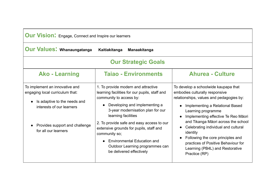| <b>Our Vision:</b> Engage, Connect and Inspire our learners |  |  |  |  |
|-------------------------------------------------------------|--|--|--|--|
|-------------------------------------------------------------|--|--|--|--|

| <b>Our Values: Whanaungatanga</b>                                                                                                                                                        | Kaitiakitanga<br><b>Manaakitanga</b>                                                                                                                                                                                                                                                                                                                                                                                       |                                                                                                                                                                                                                                                                                                                                                                                                                                                           |  |
|------------------------------------------------------------------------------------------------------------------------------------------------------------------------------------------|----------------------------------------------------------------------------------------------------------------------------------------------------------------------------------------------------------------------------------------------------------------------------------------------------------------------------------------------------------------------------------------------------------------------------|-----------------------------------------------------------------------------------------------------------------------------------------------------------------------------------------------------------------------------------------------------------------------------------------------------------------------------------------------------------------------------------------------------------------------------------------------------------|--|
| <b>Our Strategic Goals</b>                                                                                                                                                               |                                                                                                                                                                                                                                                                                                                                                                                                                            |                                                                                                                                                                                                                                                                                                                                                                                                                                                           |  |
| <b>Ako - Learning</b>                                                                                                                                                                    | <b>Taiao - Environments</b>                                                                                                                                                                                                                                                                                                                                                                                                | <b>Ahurea - Culture</b>                                                                                                                                                                                                                                                                                                                                                                                                                                   |  |
| To implement an innovative and<br>engaging local curriculum that:<br>Is adaptive to the needs and<br>interests of our learners<br>Provides support and challenge<br>for all our learners | 1. To provide modern and attractive<br>learning facilities for our pupils, staff and<br>community to access by:<br>Developing and implementing a<br>3-year modernisation plan for our<br>learning facilities<br>2. To provide safe and easy access to our<br>extensive grounds for pupils, staff and<br>community so;<br><b>Environmental Education and</b><br>Outdoor Learning programmes can<br>be delivered effectively | To develop a schoolwide kaupapa that<br>embodies culturally responsive<br>relationships, values and pedagogies by:<br>Implementing a Relational Based<br>Learning programme<br>Implementing effective Te Reo Māori<br>and Tikanga Māori across the school<br>Celebrating individual and cultural<br>$\bullet$<br>identity<br>Following the core principles and<br>practices of Positive Behaviour for<br>Learning (PB4L) and Restorative<br>Practice (RP) |  |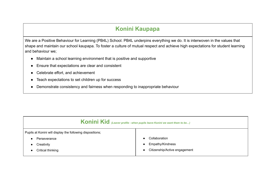### **Konini Kaupapa**

We are a Positive Behaviour for Learning (PB4L) School. PB4L underpins everything we do. It is interwoven in the values that shape and maintain our school kaupapa. To foster a culture of mutual respect and achieve high expectations for student learning and behaviour we;

- Maintain a school learning environment that is positive and supportive
- Ensure that expectations are clear and consistent
- Celebrate effort, and achievement
- Teach expectations to set children up for success
- Demonstrate consistency and fairness when responding to inappropriate behaviour

| Konini Kid (Leaver profile - when pupils leave Konini we want them to be) |                               |  |
|---------------------------------------------------------------------------|-------------------------------|--|
| Pupils at Konini will display the following dispositions;                 |                               |  |
| Perseverance                                                              | Collaboration                 |  |
| Creativity                                                                | Empathy/Kindness              |  |
| Critical thinking                                                         | Citizenship/Active engagement |  |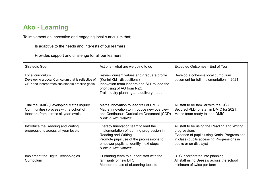### **Ako - Learning**

To implement an innovative and engaging local curriculum that;

Is adaptive to the needs and interests of our learners

Provides support and challenge for all our learners

| <b>Strategic Goal</b>                                                                                                      | Actions - what are we going to do                                                                                                                                                                                                | Expected Outcomes - End of Year                                                                                                                                                      |
|----------------------------------------------------------------------------------------------------------------------------|----------------------------------------------------------------------------------------------------------------------------------------------------------------------------------------------------------------------------------|--------------------------------------------------------------------------------------------------------------------------------------------------------------------------------------|
| Local curriculum<br>Developing a Local Curriculum that is reflective of<br>CRP and incorporates sustainable practice goals | Review current values and graduate profile<br>(Konini Kid - dispositions)<br>Innovation team leaders and SLT to lead the<br>prioritising of AO from NZC<br>Trail Inquiry planning and delivery model                             | Develop a cohesive local curriculum<br>document for full implementation in 2021                                                                                                      |
| Trial the DMIC (Developing Maths Inquiry<br>Communities) process with a cohort of<br>teachers from across all year levels. | Maths Innovation to lead trail of DMIC<br>Maths Innovation to introduce new overview<br>and Continuous Curriculum Document (CCD)<br>*Link in with Kotuitui                                                                       | All staff to be familiar with the CCD<br>Secured PLD for staff in DMIC for 2021<br>Maths team ready to lead DMIC                                                                     |
| Introduce the Reading and Writing<br>progressions across all year levels                                                   | Literacy Innovation team to lead the<br>implementation of learning progression in<br><b>Reading and Writing</b><br>Promote pupil use of the progressions to<br>empower pupils to identify 'next steps'<br>*Link in with Kotuitui | All staff to be using the Reading and Writing<br>progressions<br>Evidence of pupils using Konini Progressions<br>in class (pupils accessing Progressions in<br>books or on displays) |
| Implement the Digital Technologies<br>Curriculum                                                                           | ELearning team to support staff with the<br>familiarity of new DTC<br>Monitor the use of eLearning tools to                                                                                                                      | DTC incorporated into planning<br>All staff using Seesaw across the school<br>minimum of twice per term                                                                              |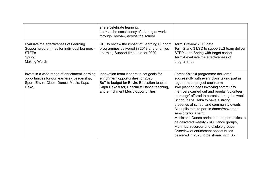|                                                                                                                                                   | share/celebrate learning.<br>Look at the consistency of sharing of work,<br>through Seesaw, across the school                                                                                                     |                                                                                                                                                                                                                                                                                                                                                                                                                                                                                                                                                                                                                                      |
|---------------------------------------------------------------------------------------------------------------------------------------------------|-------------------------------------------------------------------------------------------------------------------------------------------------------------------------------------------------------------------|--------------------------------------------------------------------------------------------------------------------------------------------------------------------------------------------------------------------------------------------------------------------------------------------------------------------------------------------------------------------------------------------------------------------------------------------------------------------------------------------------------------------------------------------------------------------------------------------------------------------------------------|
| Evaluate the effectiveness of Learning<br>Support programmes for individual learners -<br><b>STEPs</b><br>Spring<br><b>Making Words</b>           | SLT to review the impact of Learning Support<br>programmes delivered in 2019 and priorities<br>Learning Support timetable for 2020                                                                                | Term 1 review 2019 data<br>Term 2 and 3 LSC to support LS team deliver<br>STEPs and Spring with target cohort<br>Term 4 evaluate the effectiveness of<br>programmes                                                                                                                                                                                                                                                                                                                                                                                                                                                                  |
| Invest in a wide range of enrichment learning<br>opportunities for our learners - Leadership,<br>Sport, Enviro Clubs, Dance, Music, Kapa<br>Haka, | Innovation team leaders to set goals for<br>enrichment opportunities for 2020<br>BoT to budget for Enviro Education teacher,<br>Kapa Haka tutor, Specialist Dance teaching,<br>and enrichment Music opportunities | Forest Kaitiaki programme delivered<br>successfully with every class taking part in<br>regeneration project each term<br>Two planting bees involving community<br>members carried out and regular 'volunteer<br>mornings' offered to parents during the week<br>School Kapa Haka to have a strong<br>presence at school and community events<br>All pupils to take part in dance/movement<br>sessions for a term<br>Music and Dance enrichment opportunities to<br>be delivered weekly - KC Dance groups,<br>Marimba, recorder and ukulele groups<br>Overview of enrichment opportunities<br>delivered in 2020 to be shared with BoT |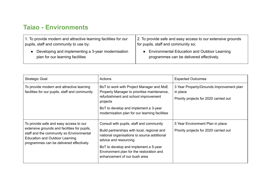## **Taiao - Environments**

| 1. To provide modern and attractive learning facilities for our | 2. To provide safe and easy access to our extensive grounds |
|-----------------------------------------------------------------|-------------------------------------------------------------|
| pupils, staff and community to use by;                          | for pupils, staff and community so;                         |
| Developing and implementing a 3-year modernisation              | • Environmental Education and Outdoor Learning              |
| plan for our learning facilities                                | programmes can be delivered effectively.                    |

| <b>Strategic Goal</b>                                                                                                                                                                                                  | Actions                                                                                                                                                                                                                                                                              | <b>Expected Outcomes</b>                                                                       |
|------------------------------------------------------------------------------------------------------------------------------------------------------------------------------------------------------------------------|--------------------------------------------------------------------------------------------------------------------------------------------------------------------------------------------------------------------------------------------------------------------------------------|------------------------------------------------------------------------------------------------|
| To provide modern and attractive learning<br>facilities for our pupils, staff and community                                                                                                                            | BoT to work with Project Manager and MoE<br>Property Manager to prioritise maintenance,<br>refurbishment and school improvement<br>projects<br>BoT to develop and implement a 3-year<br>modernisation plan for our learning facilities                                               | 3 Year Property/Grounds Improvement plan<br>in place<br>Priority projects for 2020 carried out |
| To provide safe and easy access to our<br>extensive grounds and facilities for pupils,<br>staff and the community so Environmental<br><b>Education and Outdoor Learning</b><br>programmes can be delivered effectively | Consult with pupils, staff and community<br>Build partnerships with local, regional and<br>national organisations to source additional<br>advice and resourcing<br>BoT to develop and implement a 5-year<br>Environment plan for the restoration and<br>enhancement of our bush area | 5 Year Environment Plan in place<br>Priority projects for 2020 carried out                     |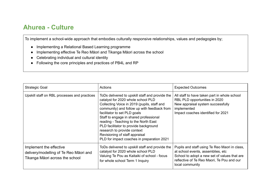#### **Ahurea - Culture**

To implement a school-wide approach that embodies culturally responsive relationships, values and pedagogies by;

- Implementing a Relational Based Learning programme
- Implementing effective Te Reo Māori and Tikanga Māori across the school
- Celebrating individual and cultural identity
- Following the core principles and practices of PB4L and RP

| <b>Strategic Goal</b>                                                                                | Actions                                                                                                                                                                                                                                                                                                                                                                                                                                                       | <b>Expected Outcomes</b>                                                                                                                                                                             |
|------------------------------------------------------------------------------------------------------|---------------------------------------------------------------------------------------------------------------------------------------------------------------------------------------------------------------------------------------------------------------------------------------------------------------------------------------------------------------------------------------------------------------------------------------------------------------|------------------------------------------------------------------------------------------------------------------------------------------------------------------------------------------------------|
| Upskill staff on RBL processes and practices                                                         | ToDs delivered to upskill staff and provide the<br>catalyst for 2020 whole school PLD<br>Collecting Voice in 2019 (pupils, staff and<br>community) and follow up with feedback from<br>facilitator to set PLD goals<br>Staff to engage in shared professional<br>reading - Teaching to the North East<br>PLD facilitator to provide background<br>research to provide context<br>Revisioning of staff appraisal<br>PLD for impact coaches in preparation 2021 | All staff to have taken part in whole school<br>RBL PLD opportunities in 2020<br>New appraisal system successfully<br>implemented<br>Impact coaches identified for 2021                              |
| Implement the effective<br>delivery/modelling of Te Reo Māori and<br>Tikanga Māori across the school | ToDs delivered to upskill staff and provide the<br>catalyst for 2020 whole school PLD<br>Valuing Te Pou as Kaitaiki of school - focus<br>for whole school Term 1 Inquiry                                                                                                                                                                                                                                                                                      | Pupils and staff using Te Reo Maori in class,<br>at school events, assemblies, etc.<br>School to adopt a new set of values that are<br>reflective of Te Reo Maori, Te Pou and our<br>local community |